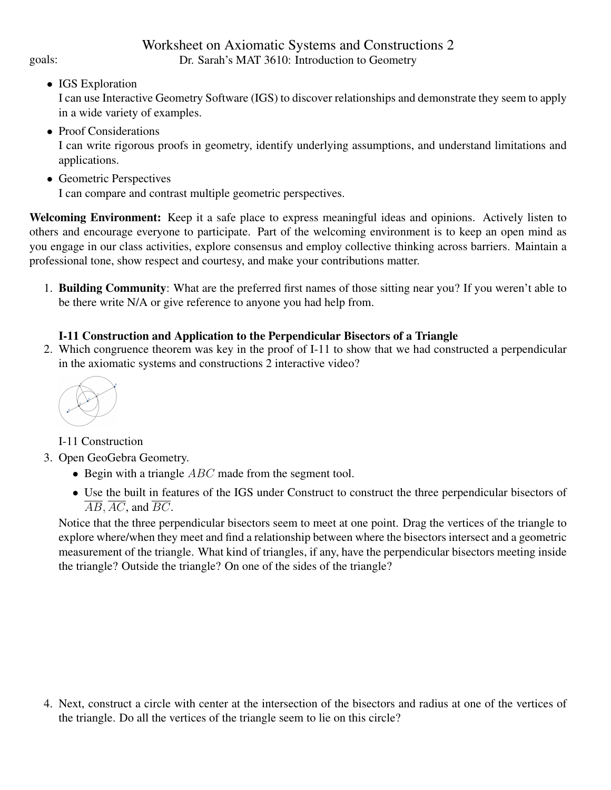## Worksheet on Axiomatic Systems and Constructions 2 goals: Dr. Sarah's MAT 3610: Introduction to Geometry

• IGS Exploration

I can use Interactive Geometry Software (IGS) to discover relationships and demonstrate they seem to apply in a wide variety of examples.

- Proof Considerations I can write rigorous proofs in geometry, identify underlying assumptions, and understand limitations and applications.
- Geometric Perspectives

I can compare and contrast multiple geometric perspectives.

Welcoming Environment: Keep it a safe place to express meaningful ideas and opinions. Actively listen to others and encourage everyone to participate. Part of the welcoming environment is to keep an open mind as you engage in our class activities, explore consensus and employ collective thinking across barriers. Maintain a professional tone, show respect and courtesy, and make your contributions matter.

1. Building Community: What are the preferred first names of those sitting near you? If you weren't able to be there write N/A or give reference to anyone you had help from.

## I-11 Construction and Application to the Perpendicular Bisectors of a Triangle

2. Which congruence theorem was key in the proof of I-11 to show that we had constructed a perpendicular in the axiomatic systems and constructions 2 interactive video?



I-11 Construction

3. Open GeoGebra Geometry.

- Begin with a triangle  $ABC$  made from the segment tool.
- Use the built in features of the IGS under Construct to construct the three perpendicular bisectors of  $\overline{AB}, \overline{AC}$ , and  $\overline{BC}$ .

Notice that the three perpendicular bisectors seem to meet at one point. Drag the vertices of the triangle to explore where/when they meet and find a relationship between where the bisectors intersect and a geometric measurement of the triangle. What kind of triangles, if any, have the perpendicular bisectors meeting inside the triangle? Outside the triangle? On one of the sides of the triangle?

4. Next, construct a circle with center at the intersection of the bisectors and radius at one of the vertices of the triangle. Do all the vertices of the triangle seem to lie on this circle?